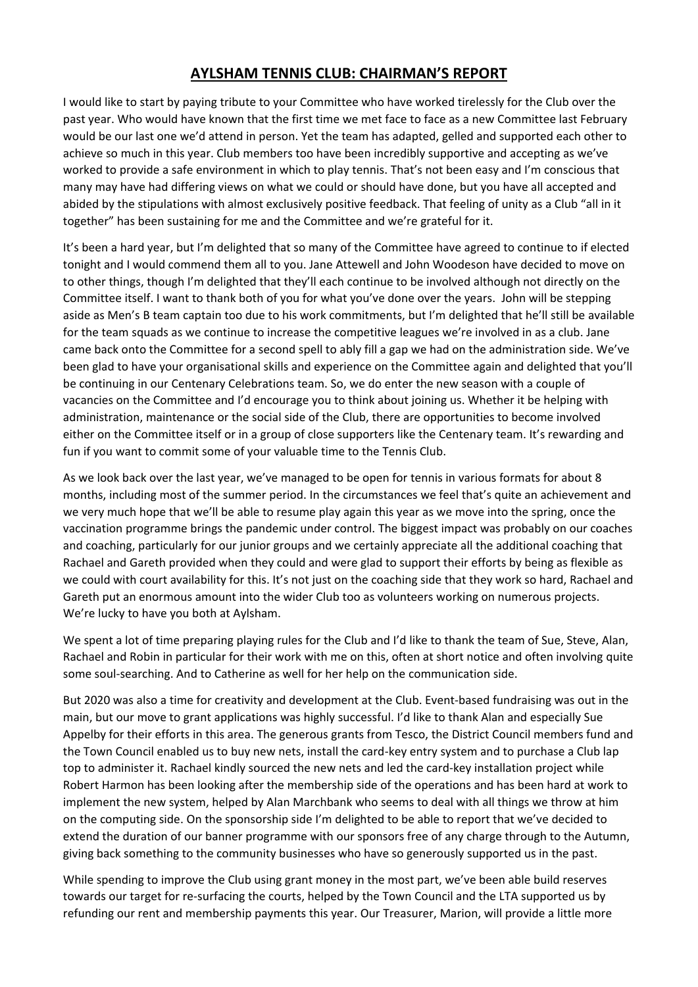## **AYLSHAM TENNIS CLUB: CHAIRMAN'S REPORT**

I would like to start by paying tribute to your Committee who have worked tirelessly for the Club over the past year. Who would have known that the first time we met face to face as a new Committee last February would be our last one we'd attend in person. Yet the team has adapted, gelled and supported each other to achieve so much in this year. Club members too have been incredibly supportive and accepting as we've worked to provide a safe environment in which to play tennis. That's not been easy and I'm conscious that many may have had differing views on what we could or should have done, but you have all accepted and abided by the stipulations with almost exclusively positive feedback. That feeling of unity as a Club "all in it together" has been sustaining for me and the Committee and we're grateful for it.

It's been a hard year, but I'm delighted that so many of the Committee have agreed to continue to if elected tonight and I would commend them all to you. Jane Attewell and John Woodeson have decided to move on to other things, though I'm delighted that they'll each continue to be involved although not directly on the Committee itself. I want to thank both of you for what you've done over the years. John will be stepping aside as Men's B team captain too due to his work commitments, but I'm delighted that he'll still be available for the team squads as we continue to increase the competitive leagues we're involved in as a club. Jane came back onto the Committee for a second spell to ably fill a gap we had on the administration side. We've been glad to have your organisational skills and experience on the Committee again and delighted that you'll be continuing in our Centenary Celebrations team. So, we do enter the new season with a couple of vacancies on the Committee and I'd encourage you to think about joining us. Whether it be helping with administration, maintenance or the social side of the Club, there are opportunities to become involved either on the Committee itself or in a group of close supporters like the Centenary team. It's rewarding and fun if you want to commit some of your valuable time to the Tennis Club.

As we look back over the last year, we've managed to be open for tennis in various formats for about 8 months, including most of the summer period. In the circumstances we feel that's quite an achievement and we very much hope that we'll be able to resume play again this year as we move into the spring, once the vaccination programme brings the pandemic under control. The biggest impact was probably on our coaches and coaching, particularly for our junior groups and we certainly appreciate all the additional coaching that Rachael and Gareth provided when they could and were glad to support their efforts by being as flexible as we could with court availability for this. It's not just on the coaching side that they work so hard, Rachael and Gareth put an enormous amount into the wider Club too as volunteers working on numerous projects. We're lucky to have you both at Aylsham.

We spent a lot of time preparing playing rules for the Club and I'd like to thank the team of Sue, Steve, Alan, Rachael and Robin in particular for their work with me on this, often at short notice and often involving quite some soul-searching. And to Catherine as well for her help on the communication side.

But 2020 was also a time for creativity and development at the Club. Event-based fundraising was out in the main, but our move to grant applications was highly successful. I'd like to thank Alan and especially Sue Appelby for their efforts in this area. The generous grants from Tesco, the District Council members fund and the Town Council enabled us to buy new nets, install the card-key entry system and to purchase a Club lap top to administer it. Rachael kindly sourced the new nets and led the card-key installation project while Robert Harmon has been looking after the membership side of the operations and has been hard at work to implement the new system, helped by Alan Marchbank who seems to deal with all things we throw at him on the computing side. On the sponsorship side I'm delighted to be able to report that we've decided to extend the duration of our banner programme with our sponsors free of any charge through to the Autumn, giving back something to the community businesses who have so generously supported us in the past.

While spending to improve the Club using grant money in the most part, we've been able build reserves towards our target for re-surfacing the courts, helped by the Town Council and the LTA supported us by refunding our rent and membership payments this year. Our Treasurer, Marion, will provide a little more